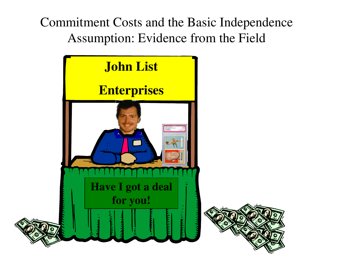Commitment Costs and the Basic Independence Assumption: Evidence from the Field

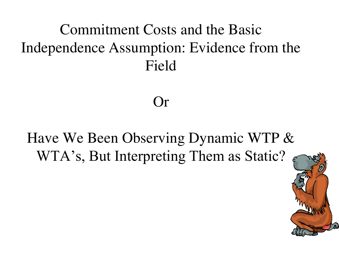### Commitment Costs and the Basic Independence Assumption: Evidence from the Field

### Have We Been Observing Dynamic WTP & WTA's, But Interpreting Them as Static?

Or

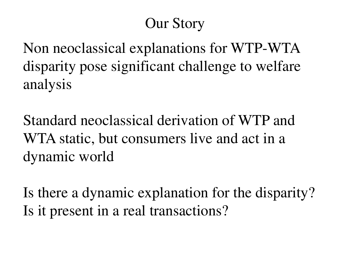### Our Story

Non neoclassical explanations for WTP-WTA disparity pose significant challenge to welfare analysis

Standard neoclassical derivation of WTP and WTA static, but consumers live and act in a dynamic world

Is there a dynamic explanation for the disparity? Is it present in a real transactions?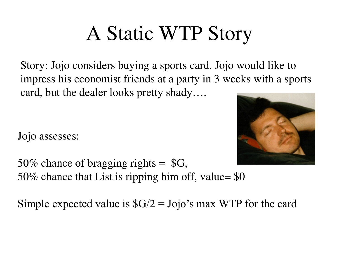# A Static WTP Story

Story: Jojo considers buying a sports card. Jojo would like to impress his economist friends at a party in 3 weeks with a sports card, but the dealer looks pretty shady….

Jojo assesses:



50% chance of bragging rights =  $\text{SG}$ , 50% chance that List is ripping him off, value= \$0

Simple expected value is  $\frac{6}{2} = \text{J ojo's max WTP}$  for the card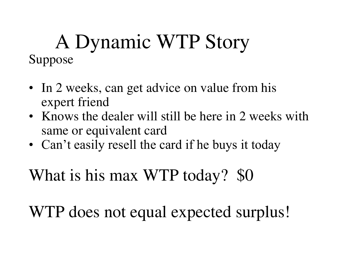### A Dynamic WTP Story Suppose

- In 2 weeks, can get advice on value from his expert friend
- Knows the dealer will still be here in 2 weeks with same or equivalent card
- Can't easily resell the card if he buys it today

What is his max WTP today? \$0

WTP does not equal expected surplus!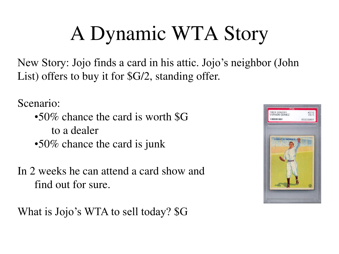# A Dynamic WTA Story

New Story: Jojo finds a card in his attic. Jojo's neighbor (John List) offers to buy it for \$G/2, standing offer.

Scenario:

- •50% chance the card is worth \$G to a dealer •50% chance the card is junk
- In 2 weeks he can attend a card show and find out for sure.

What is Jojo's WTA to sell today? \$G

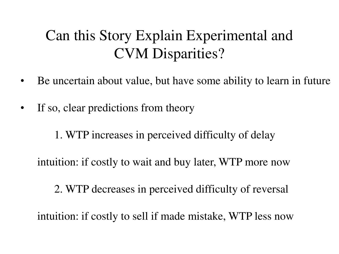### Can this Story Explain Experimental and CVM Disparities?

- Be uncertain about value, but have some ability to learn in future
- If so, clear predictions from theory

1. WTP increases in perceived difficulty of delay

intuition: if costly to wait and buy later, WTP more now

2. WTP decreases in perceived difficulty of reversal

intuition: if costly to sell if made mistake, WTP less now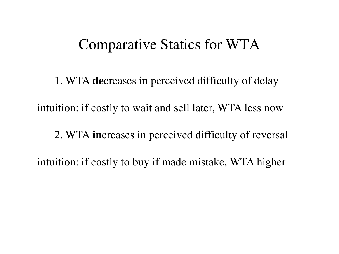#### Comparative Statics for WTA

 1. WTA **de**creases in perceived difficulty of delay intuition: if costly to wait and sell later, WTA less now 2. WTA **in**creases in perceived difficulty of reversal intuition: if costly to buy if made mistake, WTA higher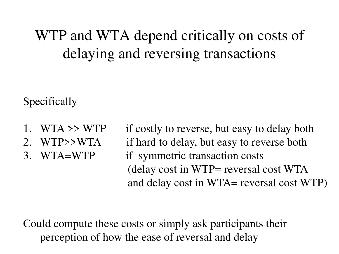### WTP and WTA depend critically on costs of delaying and reversing transactions

Specifically

- 
- 
- 

1. WTA >> WTP if costly to reverse, but easy to delay both 2. WTP>>WTA if hard to delay, but easy to reverse both 3. WTA=WTP if symmetric transaction costs (delay cost in WTP= reversal cost WTA and delay cost in WTA= reversal cost WTP)

Could compute these costs or simply ask participants their perception of how the ease of reversal and delay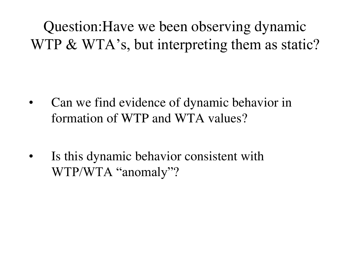Question:Have we been observing dynamic WTP & WTA's, but interpreting them as static?

- Can we find evidence of dynamic behavior in formation of WTP and WTA values?
- Is this dynamic behavior consistent with WTP/WTA "anomaly"?